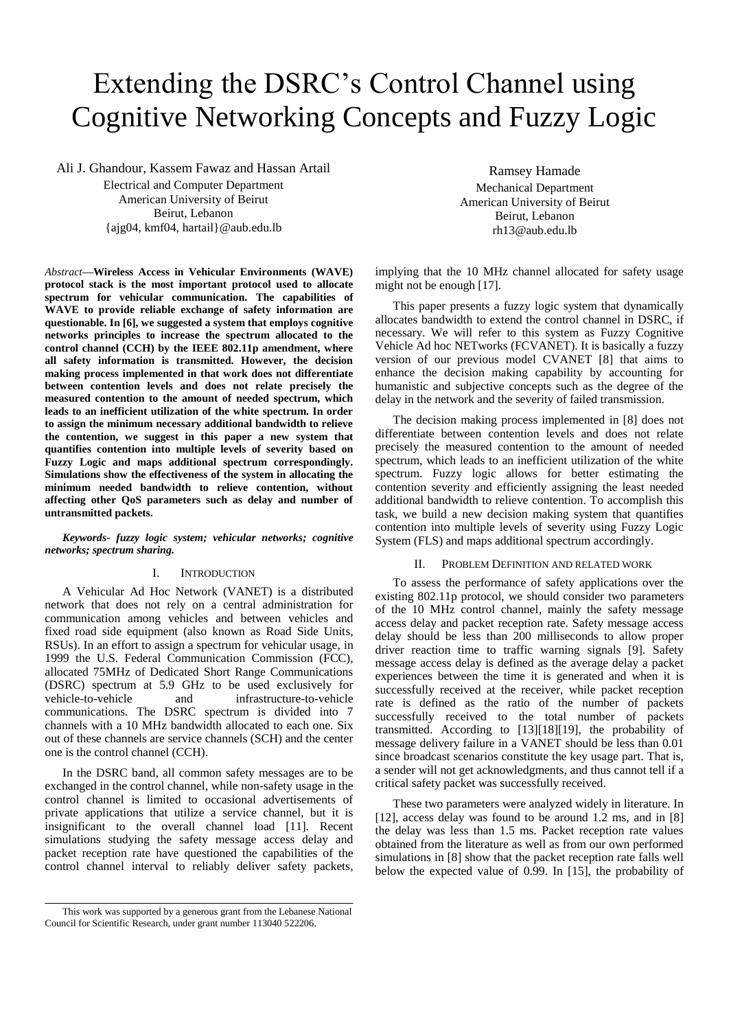# Extending the DSRC's Control Channel using Cognitive Networking Concepts and Fuzzy Logic

Ali J. Ghandour, Kassem Fawaz and Hassan Artail

Electrical and Computer Department American University of Beirut Beirut, Lebanon {ajg04, kmf04, hartail}@aub.edu.lb

*Abstract***—Wireless Access in Vehicular Environments (WAVE) protocol stack is the most important protocol used to allocate spectrum for vehicular communication. The capabilities of WAVE to provide reliable exchange of safety information are questionable. In [6], we suggested a system that employs cognitive networks principles to increase the spectrum allocated to the control channel (CCH) by the IEEE 802.11p amendment, where all safety information is transmitted. However, the decision making process implemented in that work does not differentiate between contention levels and does not relate precisely the measured contention to the amount of needed spectrum, which leads to an inefficient utilization of the white spectrum. In order to assign the minimum necessary additional bandwidth to relieve the contention, we suggest in this paper a new system that quantifies contention into multiple levels of severity based on Fuzzy Logic and maps additional spectrum correspondingly. Simulations show the effectiveness of the system in allocating the minimum needed bandwidth to relieve contention, without affecting other QoS parameters such as delay and number of untransmitted packets.**

*Keywords- fuzzy logic system; vehicular networks; cognitive networks; spectrum sharing.*

## I. INTRODUCTION

A Vehicular Ad Hoc Network (VANET) is a distributed network that does not rely on a central administration for communication among vehicles and between vehicles and fixed road side equipment (also known as Road Side Units, RSUs). In an effort to assign a spectrum for vehicular usage, in 1999 the U.S. Federal Communication Commission (FCC), allocated 75MHz of Dedicated Short Range Communications (DSRC) spectrum at 5.9 GHz to be used exclusively for vehicle-to-vehicle and infrastructure-to-vehicle communications. The DSRC spectrum is divided into 7 channels with a 10 MHz bandwidth allocated to each one. Six out of these channels are service channels (SCH) and the center one is the control channel (CCH).

In the DSRC band, all common safety messages are to be exchanged in the control channel, while non-safety usage in the control channel is limited to occasional advertisements of private applications that utilize a service channel, but it is insignificant to the overall channel load [11]. Recent simulations studying the safety message access delay and packet reception rate have questioned the capabilities of the control channel interval to reliably deliver safety packets,

Ramsey Hamade Mechanical Department American University of Beirut Beirut, Lebanon rh13@aub.edu.lb

implying that the 10 MHz channel allocated for safety usage might not be enough [17].

This paper presents a fuzzy logic system that dynamically allocates bandwidth to extend the control channel in DSRC, if necessary. We will refer to this system as Fuzzy Cognitive Vehicle Ad hoc NETworks (FCVANET). It is basically a fuzzy version of our previous model CVANET [8] that aims to enhance the decision making capability by accounting for humanistic and subjective concepts such as the degree of the delay in the network and the severity of failed transmission.

The decision making process implemented in [8] does not differentiate between contention levels and does not relate precisely the measured contention to the amount of needed spectrum, which leads to an inefficient utilization of the white spectrum. Fuzzy logic allows for better estimating the contention severity and efficiently assigning the least needed additional bandwidth to relieve contention. To accomplish this task, we build a new decision making system that quantifies contention into multiple levels of severity using Fuzzy Logic System (FLS) and maps additional spectrum accordingly.

#### II. PROBLEM DEFINITION AND RELATED WORK

To assess the performance of safety applications over the existing 802.11p protocol, we should consider two parameters of the 10 MHz control channel, mainly the safety message access delay and packet reception rate. Safety message access delay should be less than 200 milliseconds to allow proper driver reaction time to traffic warning signals [9]. Safety message access delay is defined as the average delay a packet experiences between the time it is generated and when it is successfully received at the receiver, while packet reception rate is defined as the ratio of the number of packets successfully received to the total number of packets transmitted. According to [13][18][19], the probability of message delivery failure in a VANET should be less than 0.01 since broadcast scenarios constitute the key usage part. That is, a sender will not get acknowledgments, and thus cannot tell if a critical safety packet was successfully received.

These two parameters were analyzed widely in literature. In [12], access delay was found to be around 1.2 ms, and in [8] the delay was less than 1.5 ms. Packet reception rate values obtained from the literature as well as from our own performed simulations in [8] show that the packet reception rate falls well below the expected value of 0.99. In [15], the probability of

This work was supported by a generous grant from the Lebanese National Council for Scientific Research, under grant number 113040 522206.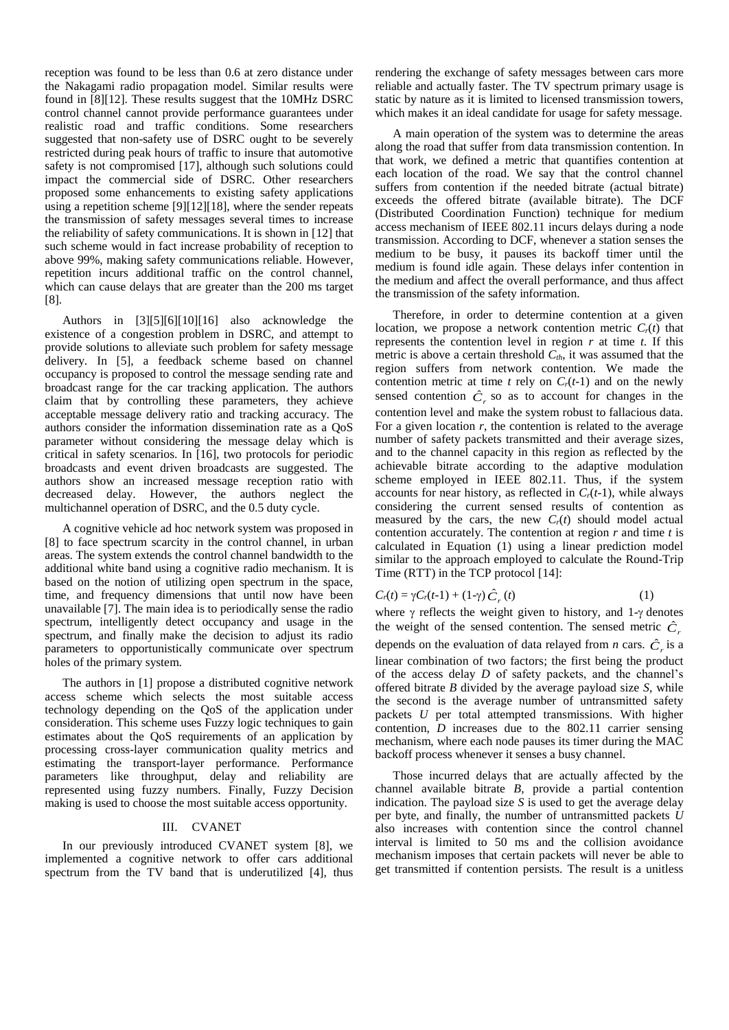reception was found to be less than 0.6 at zero distance under the Nakagami radio propagation model. Similar results were found in [8][12]. These results suggest that the 10MHz DSRC control channel cannot provide performance guarantees under realistic road and traffic conditions. Some researchers suggested that non-safety use of DSRC ought to be severely restricted during peak hours of traffic to insure that automotive safety is not compromised [17], although such solutions could impact the commercial side of DSRC. Other researchers proposed some enhancements to existing safety applications using a repetition scheme [9][12][18], where the sender repeats the transmission of safety messages several times to increase the reliability of safety communications. It is shown in [12] that such scheme would in fact increase probability of reception to above 99%, making safety communications reliable. However, repetition incurs additional traffic on the control channel, which can cause delays that are greater than the 200 ms target [8].

Authors in [3][5][6][10][16] also acknowledge the existence of a congestion problem in DSRC, and attempt to provide solutions to alleviate such problem for safety message delivery. In [5], a feedback scheme based on channel occupancy is proposed to control the message sending rate and broadcast range for the car tracking application. The authors claim that by controlling these parameters, they achieve acceptable message delivery ratio and tracking accuracy. The authors consider the information dissemination rate as a QoS parameter without considering the message delay which is critical in safety scenarios. In [16], two protocols for periodic broadcasts and event driven broadcasts are suggested. The authors show an increased message reception ratio with decreased delay. However, the authors neglect the multichannel operation of DSRC, and the 0.5 duty cycle.

A cognitive vehicle ad hoc network system was proposed in [8] to face spectrum scarcity in the control channel, in urban areas. The system extends the control channel bandwidth to the additional white band using a cognitive radio mechanism. It is based on the notion of utilizing open spectrum in the space, time, and frequency dimensions that until now have been unavailable [7]. The main idea is to periodically sense the radio spectrum, intelligently detect occupancy and usage in the spectrum, and finally make the decision to adjust its radio parameters to opportunistically communicate over spectrum holes of the primary system.

The authors in [1] propose a distributed cognitive network access scheme which selects the most suitable access technology depending on the QoS of the application under consideration. This scheme uses Fuzzy logic techniques to gain estimates about the QoS requirements of an application by processing cross-layer communication quality metrics and estimating the transport-layer performance. Performance parameters like throughput, delay and reliability are represented using fuzzy numbers. Finally, Fuzzy Decision making is used to choose the most suitable access opportunity.

## III. CVANET

In our previously introduced CVANET system [8], we implemented a cognitive network to offer cars additional spectrum from the TV band that is underutilized [4], thus rendering the exchange of safety messages between cars more reliable and actually faster. The TV spectrum primary usage is static by nature as it is limited to licensed transmission towers, which makes it an ideal candidate for usage for safety message.

A main operation of the system was to determine the areas along the road that suffer from data transmission contention. In that work, we defined a metric that quantifies contention at each location of the road. We say that the control channel suffers from contention if the needed bitrate (actual bitrate) exceeds the offered bitrate (available bitrate). The DCF (Distributed Coordination Function) technique for medium access mechanism of IEEE 802.11 incurs delays during a node transmission. According to DCF, whenever a station senses the medium to be busy, it pauses its backoff timer until the medium is found idle again. These delays infer contention in the medium and affect the overall performance, and thus affect the transmission of the safety information.

Therefore, in order to determine contention at a given location, we propose a network contention metric  $C_r(t)$  that represents the contention level in region *r* at time *t*. If this metric is above a certain threshold *Cth*, it was assumed that the region suffers from network contention. We made the contention metric at time  $t$  rely on  $C_r(t-1)$  and on the newly sensed contention  $\hat{C}_r$  so as to account for changes in the contention level and make the system robust to fallacious data. For a given location *r*, the contention is related to the average number of safety packets transmitted and their average sizes, and to the channel capacity in this region as reflected by the achievable bitrate according to the adaptive modulation scheme employed in IEEE 802.11. Thus, if the system accounts for near history, as reflected in  $C_r(t-1)$ , while always considering the current sensed results of contention as measured by the cars, the new  $C_r(t)$  should model actual contention accurately. The contention at region *r* and time *t* is calculated in Equation (1) using a linear prediction model similar to the approach employed to calculate the Round-Trip Time (RTT) in the TCP protocol [14]:

$$
C_r(t) = \gamma C_r(t-1) + (1-\gamma)\hat{C}_r(t) \tag{1}
$$

where  $\gamma$  reflects the weight given to history, and 1- $\gamma$  denotes the weight of the sensed contention. The sensed metric  $\hat{C}_i$ depends on the evaluation of data relayed from *n* cars.  $\hat{C}_r$  is a linear combination of two factors; the first being the product of the access delay *D* of safety packets, and the channel's offered bitrate *B* divided by the average payload size *S*, while the second is the average number of untransmitted safety packets *U* per total attempted transmissions. With higher contention, *D* increases due to the 802.11 carrier sensing mechanism, where each node pauses its timer during the MAC backoff process whenever it senses a busy channel.

Those incurred delays that are actually affected by the channel available bitrate *B*, provide a partial contention indication. The payload size *S* is used to get the average delay per byte, and finally, the number of untransmitted packets *U* also increases with contention since the control channel interval is limited to 50 ms and the collision avoidance mechanism imposes that certain packets will never be able to get transmitted if contention persists. The result is a unitless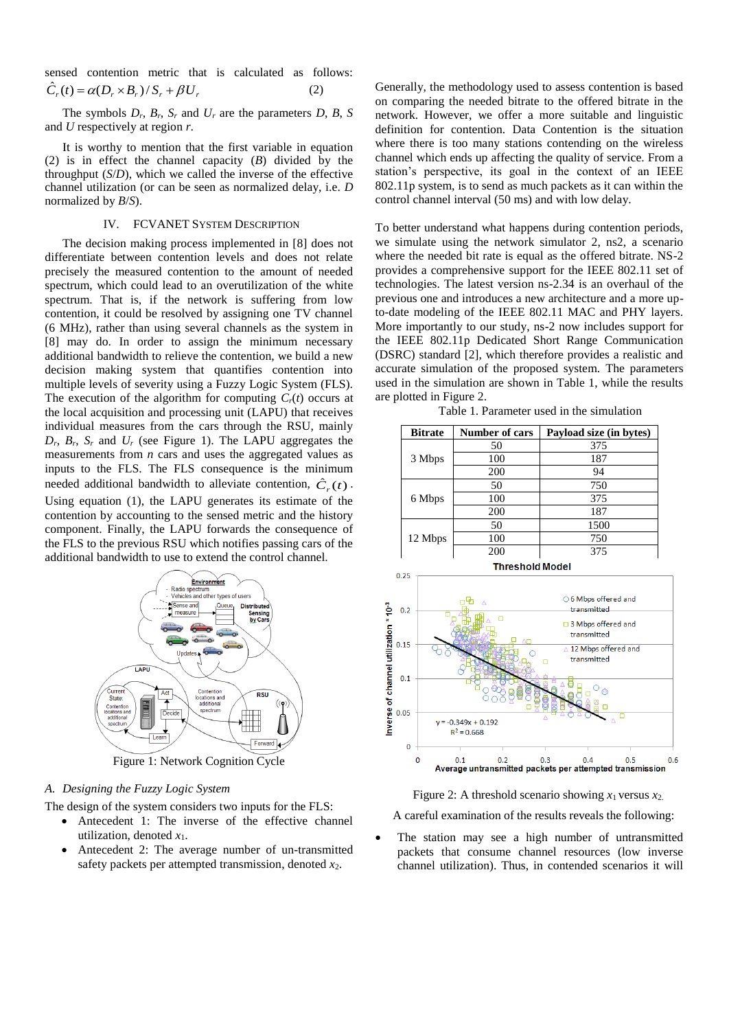sensed contention metric that is calculated as follows:  $\hat{C}_r(t) = \alpha (D_r \times B_r) / S_r + \beta U_r$  (2)

The symbols  $D_r$ ,  $B_r$ ,  $S_r$  and  $U_r$  are the parameters  $D$ ,  $B_s$ ,  $S$ and *U* respectively at region *r*.

It is worthy to mention that the first variable in equation (2) is in effect the channel capacity (*B*) divided by the throughput (*S*/*D*), which we called the inverse of the effective channel utilization (or can be seen as normalized delay, i.e. *D* normalized by *B*/*S*).

## IV. FCVANET SYSTEM DESCRIPTION

The decision making process implemented in [8] does not differentiate between contention levels and does not relate precisely the measured contention to the amount of needed spectrum, which could lead to an overutilization of the white spectrum. That is, if the network is suffering from low contention, it could be resolved by assigning one TV channel (6 MHz), rather than using several channels as the system in [8] may do. In order to assign the minimum necessary additional bandwidth to relieve the contention, we build a new decision making system that quantifies contention into multiple levels of severity using a Fuzzy Logic System (FLS). The execution of the algorithm for computing *Cr*(*t*) occurs at the local acquisition and processing unit (LAPU) that receives individual measures from the cars through the RSU, mainly  $D_r$ ,  $B_r$ ,  $S_r$  and  $U_r$  (see Figure 1). The LAPU aggregates the measurements from *n* cars and uses the aggregated values as inputs to the FLS. The FLS consequence is the minimum needed additional bandwidth to alleviate contention,  $\hat{C}_r(t)$ . Using equation (1), the LAPU generates its estimate of the contention by accounting to the sensed metric and the history component. Finally, the LAPU forwards the consequence of the FLS to the previous RSU which notifies passing cars of the additional bandwidth to use to extend the control channel.



### *A. Designing the Fuzzy Logic System*

The design of the system considers two inputs for the FLS:

- Antecedent 1: The inverse of the effective channel utilization, denoted  $x_1$ .
- Antecedent 2: The average number of un-transmitted safety packets per attempted transmission, denoted *x*2.

Generally, the methodology used to assess contention is based on comparing the needed bitrate to the offered bitrate in the network. However, we offer a more suitable and linguistic definition for contention. Data Contention is the situation where there is too many stations contending on the wireless channel which ends up affecting the quality of service. From a station's perspective, its goal in the context of an IEEE 802.11p system, is to send as much packets as it can within the control channel interval (50 ms) and with low delay.

To better understand what happens during contention periods, we simulate using the network simulator 2, ns2, a scenario where the needed bit rate is equal as the offered bitrate. NS-2 provides a comprehensive support for the IEEE 802.11 set of technologies. The latest version ns-2.34 is an overhaul of the previous one and introduces a new architecture and a more upto-date modeling of the IEEE 802.11 MAC and PHY layers. More importantly to our study, ns-2 now includes support for the IEEE 802.11p Dedicated Short Range Communication (DSRC) standard [2], which therefore provides a realistic and accurate simulation of the proposed system. The parameters used in the simulation are shown in Table 1, while the results are plotted in Figure 2.

Table 1. Parameter used in the simulation

| <b>Number of cars</b> | Payload size (in bytes) |
|-----------------------|-------------------------|
| 50                    | 375                     |
| 100                   | 187                     |
| 200                   | 94                      |
| 50                    | 750                     |
| 100                   | 375                     |
| 200                   | 187                     |
| 50                    | 1500                    |
| 100                   | 750                     |
| 200                   | 375                     |
|                       |                         |



Figure 2: A threshold scenario showing  $x_1$  versus  $x_2$ .

A careful examination of the results reveals the following:

 The station may see a high number of untransmitted packets that consume channel resources (low inverse channel utilization). Thus, in contended scenarios it will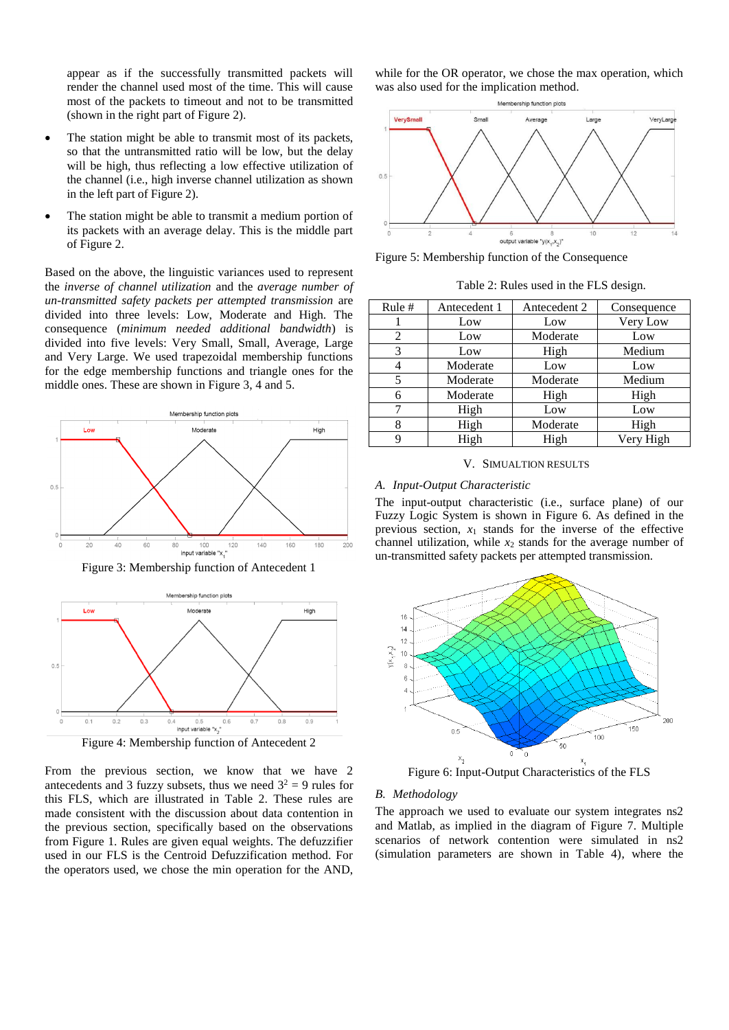appear as if the successfully transmitted packets will render the channel used most of the time. This will cause most of the packets to timeout and not to be transmitted (shown in the right part of Figure 2).

- The station might be able to transmit most of its packets, so that the untransmitted ratio will be low, but the delay will be high, thus reflecting a low effective utilization of the channel (i.e., high inverse channel utilization as shown in the left part of Figure 2).
- The station might be able to transmit a medium portion of its packets with an average delay. This is the middle part of Figure 2.

Based on the above, the linguistic variances used to represent the *inverse of channel utilization* and the *average number of un-transmitted safety packets per attempted transmission* are divided into three levels: Low, Moderate and High. The consequence (*minimum needed additional bandwidth*) is divided into five levels: Very Small, Small, Average, Large and Very Large. We used trapezoidal membership functions for the edge membership functions and triangle ones for the middle ones. These are shown in Figure 3, 4 and 5.







From the previous section, we know that we have 2 antecedents and 3 fuzzy subsets, thus we need  $3^2 = 9$  rules for this FLS, which are illustrated in Table 2. These rules are made consistent with the discussion about data contention in the previous section, specifically based on the observations from Figure 1. Rules are given equal weights. The defuzzifier used in our FLS is the Centroid Defuzzification method. For the operators used, we chose the min operation for the AND,

while for the OR operator, we chose the max operation, which was also used for the implication method.



Figure 5: Membership function of the Consequence

| Table 2: Rules used in the FLS design. |  |
|----------------------------------------|--|
|----------------------------------------|--|

| Rule # | Antecedent 1 | Antecedent 2 | Consequence |
|--------|--------------|--------------|-------------|
|        | Low          | Low          | Very Low    |
| 2      | Low          | Moderate     | Low         |
| 3      | Low          | High         | Medium      |
| 4      | Moderate     | Low          | Low         |
| 5      | Moderate     | Moderate     | Medium      |
| 6      | Moderate     | High         | High        |
| 7      | High         | Low          | Low         |
| 8      | High         | Moderate     | High        |
| 9      | High         | High         | Very High   |

V. SIMUALTION RESULTS

## *A. Input-Output Characteristic*

The input-output characteristic (i.e., surface plane) of our Fuzzy Logic System is shown in Figure 6. As defined in the previous section,  $x_1$  stands for the inverse of the effective channel utilization, while  $x_2$  stands for the average number of un-transmitted safety packets per attempted transmission.



Figure 6: Input-Output Characteristics of the FLS

# *B. Methodology*

The approach we used to evaluate our system integrates ns2 and Matlab, as implied in the diagram of Figure 7. Multiple scenarios of network contention were simulated in ns2 (simulation parameters are shown in Table 4), where the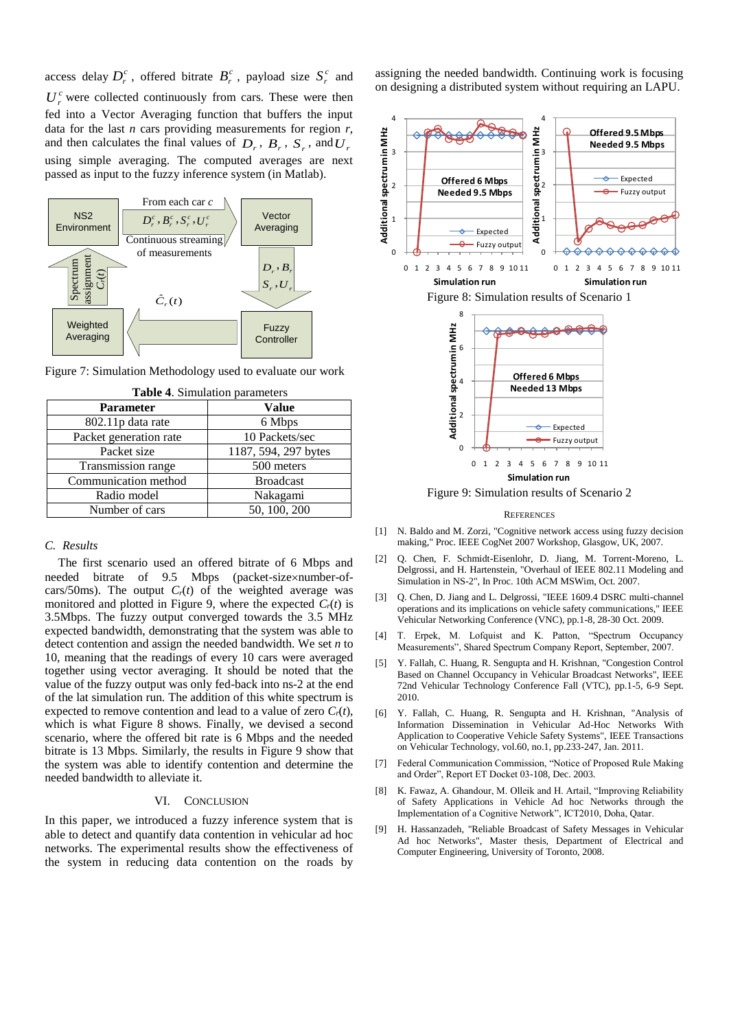access delay  $D_r^c$ , offered bitrate  $B_r^c$ , payload size  $S_r^c$  and  $U_r^c$  were collected continuously from cars. These were then fed into a Vector Averaging function that buffers the input data for the last *n* cars providing measurements for region *r*, and then calculates the final values of  $D_r$ ,  $B_r$ ,  $S_r$ , and  $U_r$ using simple averaging. The computed averages are next passed as input to the fuzzy inference system (in Matlab).



Figure 7: Simulation Methodology used to evaluate our work

| <b>Parameter</b>       | Value                |
|------------------------|----------------------|
| 802.11p data rate      | 6 Mbps               |
| Packet generation rate | 10 Packets/sec       |
| Packet size            | 1187, 594, 297 bytes |
| Transmission range     | 500 meters           |
| Communication method   | <b>Broadcast</b>     |
| Radio model            | Nakagami             |
| Number of cars         | 50, 100, 200         |

|  | Table 4. Simulation parameters |  |
|--|--------------------------------|--|
|--|--------------------------------|--|

#### *C. Results*

The first scenario used an offered bitrate of 6 Mbps and needed bitrate of 9.5 Mbps (packet-size×number-ofcars/50ms). The output  $C_r(t)$  of the weighted average was monitored and plotted in Figure 9, where the expected  $C_r(t)$  is 3.5Mbps. The fuzzy output converged towards the 3.5 MHz expected bandwidth, demonstrating that the system was able to detect contention and assign the needed bandwidth. We set *n* to 10, meaning that the readings of every 10 cars were averaged together using vector averaging. It should be noted that the value of the fuzzy output was only fed-back into ns-2 at the end of the lat simulation run. The addition of this white spectrum is expected to remove contention and lead to a value of zero  $C_r(t)$ , which is what Figure 8 shows. Finally, we devised a second scenario, where the offered bit rate is 6 Mbps and the needed bitrate is 13 Mbps. Similarly, the results in Figure 9 show that the system was able to identify contention and determine the needed bandwidth to alleviate it.

## VI. CONCLUSION

In this paper, we introduced a fuzzy inference system that is able to detect and quantify data contention in vehicular ad hoc networks. The experimental results show the effectiveness of the system in reducing data contention on the roads by

assigning the needed bandwidth. Continuing work is focusing on designing a distributed system without requiring an LAPU.



Figure 9: Simulation results of Scenario 2

#### **REFERENCES**

- [1] N. Baldo and M. Zorzi, "Cognitive network access using fuzzy decision making," Proc. IEEE CogNet 2007 Workshop, Glasgow, UK, 2007.
- [2] Q. Chen, F. Schmidt-Eisenlohr, D. Jiang, M. Torrent-Moreno, L. Delgrossi, and H. Hartenstein, "Overhaul of IEEE 802.11 Modeling and Simulation in NS-2", In Proc. 10th ACM MSWim, Oct. 2007.
- [3] Q. Chen, D. Jiang and L. Delgrossi, "IEEE 1609.4 DSRC multi-channel operations and its implications on vehicle safety communications," IEEE Vehicular Networking Conference (VNC), pp.1-8, 28-30 Oct. 2009.
- [4] T. Erpek, M. Lofquist and K. Patton, "Spectrum Occupancy Measurements", Shared Spectrum Company Report, September, 2007.
- [5] Y. Fallah, C. Huang, R. Sengupta and H. Krishnan, "Congestion Control Based on Channel Occupancy in Vehicular Broadcast Networks", IEEE 72nd Vehicular Technology Conference Fall (VTC), pp.1-5, 6-9 Sept. 2010.
- [6] Y. Fallah, C. Huang, R. Sengupta and H. Krishnan, "Analysis of Information Dissemination in Vehicular Ad-Hoc Networks With Application to Cooperative Vehicle Safety Systems", IEEE Transactions on Vehicular Technology, vol.60, no.1, pp.233-247, Jan. 2011.
- [7] Federal Communication Commission, "Notice of Proposed Rule Making and Order", Report ET Docket 03-108, Dec. 2003.
- [8] K. Fawaz, A. Ghandour, M. Olleik and H. Artail, "Improving Reliability of Safety Applications in Vehicle Ad hoc Networks through the Implementation of a Cognitive Network", ICT2010, Doha, Qatar.
- [9] H. Hassanzadeh, "Reliable Broadcast of Safety Messages in Vehicular Ad hoc Networks", Master thesis, Department of Electrical and Computer Engineering, University of Toronto, 2008.